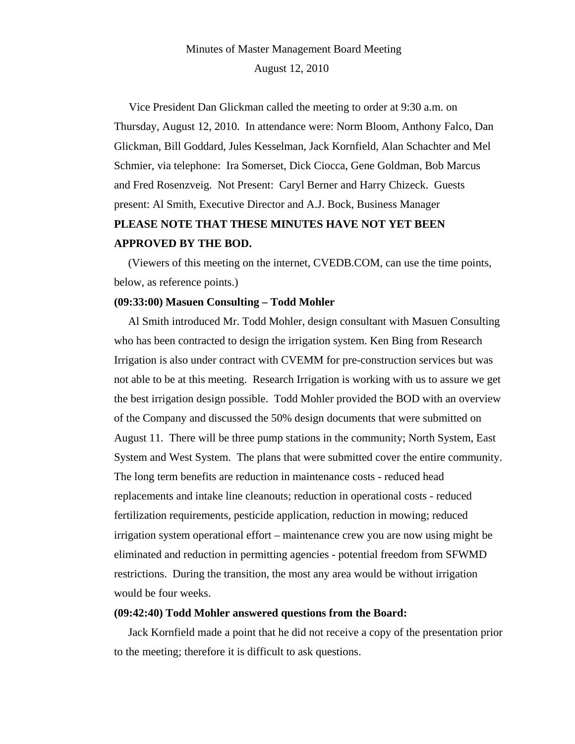# Minutes of Master Management Board Meeting August 12, 2010

 Vice President Dan Glickman called the meeting to order at 9:30 a.m. on Thursday, August 12, 2010. In attendance were: Norm Bloom, Anthony Falco, Dan Glickman, Bill Goddard, Jules Kesselman, Jack Kornfield, Alan Schachter and Mel Schmier, via telephone: Ira Somerset, Dick Ciocca, Gene Goldman, Bob Marcus and Fred Rosenzveig. Not Present: Caryl Berner and Harry Chizeck. Guests present: Al Smith, Executive Director and A.J. Bock, Business Manager **PLEASE NOTE THAT THESE MINUTES HAVE NOT YET BEEN APPROVED BY THE BOD.**

(Viewers of this meeting on the internet, CVEDB.COM, can use the time points, below, as reference points.)

#### **(09:33:00) Masuen Consulting – Todd Mohler**

 Al Smith introduced Mr. Todd Mohler, design consultant with Masuen Consulting who has been contracted to design the irrigation system. Ken Bing from Research Irrigation is also under contract with CVEMM for pre-construction services but was not able to be at this meeting. Research Irrigation is working with us to assure we get the best irrigation design possible. Todd Mohler provided the BOD with an overview of the Company and discussed the 50% design documents that were submitted on August 11. There will be three pump stations in the community; North System, East System and West System. The plans that were submitted cover the entire community. The long term benefits are reduction in maintenance costs - reduced head replacements and intake line cleanouts; reduction in operational costs - reduced fertilization requirements, pesticide application, reduction in mowing; reduced irrigation system operational effort – maintenance crew you are now using might be eliminated and reduction in permitting agencies - potential freedom from SFWMD restrictions. During the transition, the most any area would be without irrigation would be four weeks.

#### **(09:42:40) Todd Mohler answered questions from the Board:**

 Jack Kornfield made a point that he did not receive a copy of the presentation prior to the meeting; therefore it is difficult to ask questions.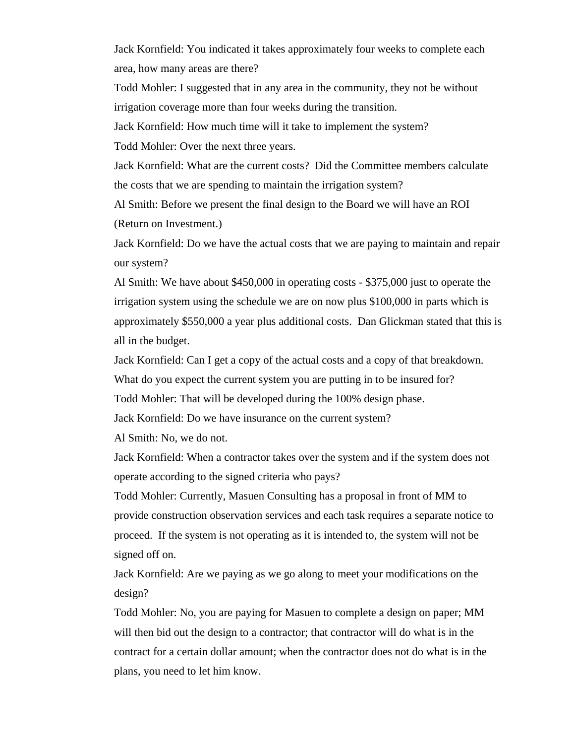Jack Kornfield: You indicated it takes approximately four weeks to complete each area, how many areas are there?

Todd Mohler: I suggested that in any area in the community, they not be without irrigation coverage more than four weeks during the transition.

Jack Kornfield: How much time will it take to implement the system?

Todd Mohler: Over the next three years.

Jack Kornfield: What are the current costs? Did the Committee members calculate the costs that we are spending to maintain the irrigation system?

Al Smith: Before we present the final design to the Board we will have an ROI (Return on Investment.)

Jack Kornfield: Do we have the actual costs that we are paying to maintain and repair our system?

Al Smith: We have about \$450,000 in operating costs - \$375,000 just to operate the irrigation system using the schedule we are on now plus \$100,000 in parts which is approximately \$550,000 a year plus additional costs. Dan Glickman stated that this is all in the budget.

Jack Kornfield: Can I get a copy of the actual costs and a copy of that breakdown.

What do you expect the current system you are putting in to be insured for?

Todd Mohler: That will be developed during the 100% design phase.

Jack Kornfield: Do we have insurance on the current system?

Al Smith: No, we do not.

Jack Kornfield: When a contractor takes over the system and if the system does not operate according to the signed criteria who pays?

Todd Mohler: Currently, Masuen Consulting has a proposal in front of MM to provide construction observation services and each task requires a separate notice to proceed. If the system is not operating as it is intended to, the system will not be signed off on.

Jack Kornfield: Are we paying as we go along to meet your modifications on the design?

Todd Mohler: No, you are paying for Masuen to complete a design on paper; MM will then bid out the design to a contractor; that contractor will do what is in the contract for a certain dollar amount; when the contractor does not do what is in the plans, you need to let him know.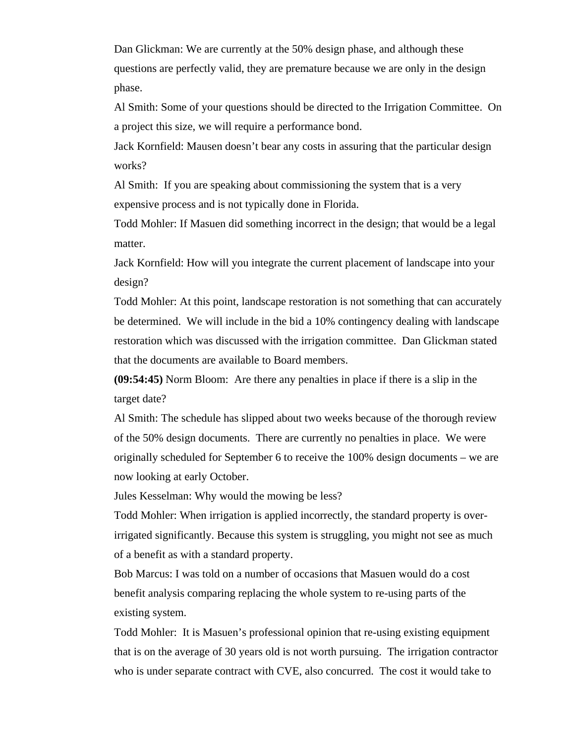Dan Glickman: We are currently at the 50% design phase, and although these questions are perfectly valid, they are premature because we are only in the design phase.

Al Smith: Some of your questions should be directed to the Irrigation Committee. On a project this size, we will require a performance bond.

Jack Kornfield: Mausen doesn't bear any costs in assuring that the particular design works?

Al Smith: If you are speaking about commissioning the system that is a very expensive process and is not typically done in Florida.

Todd Mohler: If Masuen did something incorrect in the design; that would be a legal matter.

Jack Kornfield: How will you integrate the current placement of landscape into your design?

Todd Mohler: At this point, landscape restoration is not something that can accurately be determined. We will include in the bid a 10% contingency dealing with landscape restoration which was discussed with the irrigation committee. Dan Glickman stated that the documents are available to Board members.

**(09:54:45)** Norm Bloom: Are there any penalties in place if there is a slip in the target date?

Al Smith: The schedule has slipped about two weeks because of the thorough review of the 50% design documents. There are currently no penalties in place. We were originally scheduled for September 6 to receive the 100% design documents – we are now looking at early October.

Jules Kesselman: Why would the mowing be less?

Todd Mohler: When irrigation is applied incorrectly, the standard property is overirrigated significantly. Because this system is struggling, you might not see as much of a benefit as with a standard property.

Bob Marcus: I was told on a number of occasions that Masuen would do a cost benefit analysis comparing replacing the whole system to re-using parts of the existing system.

Todd Mohler: It is Masuen's professional opinion that re-using existing equipment that is on the average of 30 years old is not worth pursuing. The irrigation contractor who is under separate contract with CVE, also concurred. The cost it would take to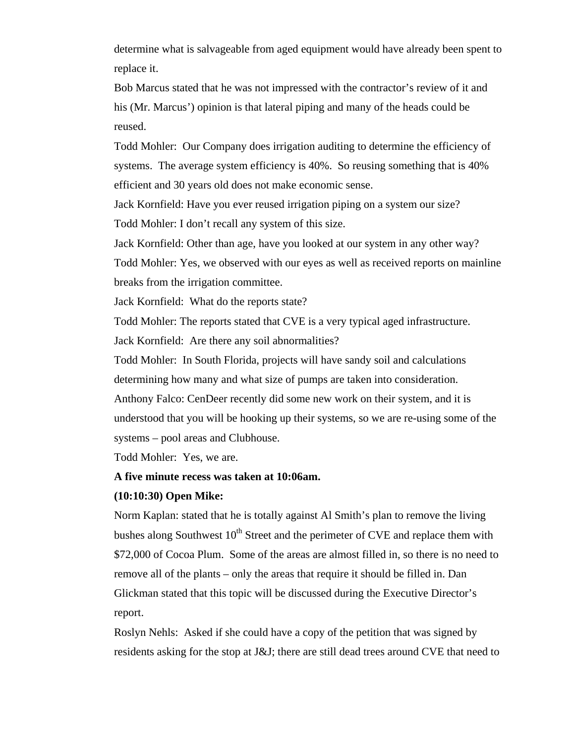determine what is salvageable from aged equipment would have already been spent to replace it.

Bob Marcus stated that he was not impressed with the contractor's review of it and his (Mr. Marcus') opinion is that lateral piping and many of the heads could be reused.

Todd Mohler: Our Company does irrigation auditing to determine the efficiency of systems. The average system efficiency is 40%. So reusing something that is 40% efficient and 30 years old does not make economic sense.

Jack Kornfield: Have you ever reused irrigation piping on a system our size? Todd Mohler: I don't recall any system of this size.

Jack Kornfield: Other than age, have you looked at our system in any other way? Todd Mohler: Yes, we observed with our eyes as well as received reports on mainline breaks from the irrigation committee.

Jack Kornfield: What do the reports state?

Todd Mohler: The reports stated that CVE is a very typical aged infrastructure.

Jack Kornfield: Are there any soil abnormalities?

Todd Mohler: In South Florida, projects will have sandy soil and calculations determining how many and what size of pumps are taken into consideration.

Anthony Falco: CenDeer recently did some new work on their system, and it is understood that you will be hooking up their systems, so we are re-using some of the systems – pool areas and Clubhouse.

Todd Mohler: Yes, we are.

# **A five minute recess was taken at 10:06am.**

# **(10:10:30) Open Mike:**

Norm Kaplan: stated that he is totally against Al Smith's plan to remove the living bushes along Southwest  $10<sup>th</sup>$  Street and the perimeter of CVE and replace them with \$72,000 of Cocoa Plum. Some of the areas are almost filled in, so there is no need to remove all of the plants – only the areas that require it should be filled in. Dan Glickman stated that this topic will be discussed during the Executive Director's report.

Roslyn Nehls: Asked if she could have a copy of the petition that was signed by residents asking for the stop at J&J; there are still dead trees around CVE that need to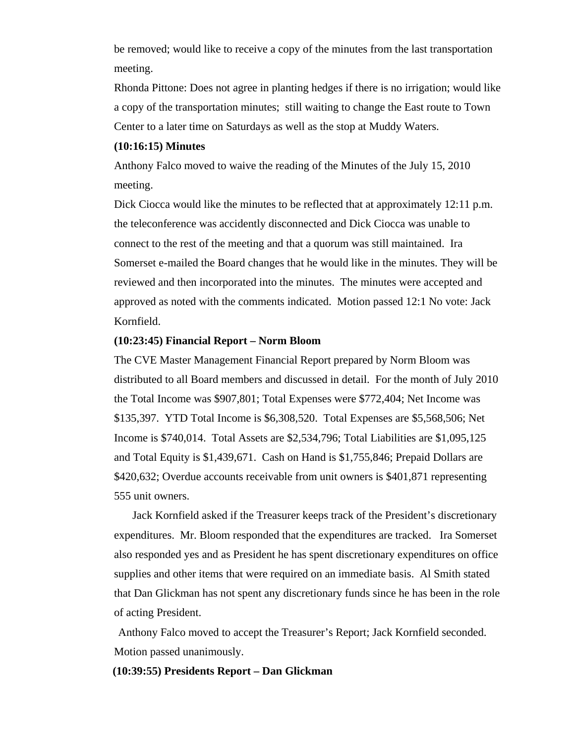be removed; would like to receive a copy of the minutes from the last transportation meeting.

Rhonda Pittone: Does not agree in planting hedges if there is no irrigation; would like a copy of the transportation minutes; still waiting to change the East route to Town Center to a later time on Saturdays as well as the stop at Muddy Waters.

# **(10:16:15) Minutes**

Anthony Falco moved to waive the reading of the Minutes of the July 15, 2010 meeting.

Dick Ciocca would like the minutes to be reflected that at approximately 12:11 p.m. the teleconference was accidently disconnected and Dick Ciocca was unable to connect to the rest of the meeting and that a quorum was still maintained. Ira Somerset e-mailed the Board changes that he would like in the minutes. They will be reviewed and then incorporated into the minutes. The minutes were accepted and approved as noted with the comments indicated. Motion passed 12:1 No vote: Jack Kornfield.

#### **(10:23:45) Financial Report – Norm Bloom**

The CVE Master Management Financial Report prepared by Norm Bloom was distributed to all Board members and discussed in detail. For the month of July 2010 the Total Income was \$907,801; Total Expenses were \$772,404; Net Income was \$135,397. YTD Total Income is \$6,308,520. Total Expenses are \$5,568,506; Net Income is \$740,014. Total Assets are \$2,534,796; Total Liabilities are \$1,095,125 and Total Equity is \$1,439,671. Cash on Hand is \$1,755,846; Prepaid Dollars are \$420,632; Overdue accounts receivable from unit owners is \$401,871 representing 555 unit owners.

 Jack Kornfield asked if the Treasurer keeps track of the President's discretionary expenditures. Mr. Bloom responded that the expenditures are tracked. Ira Somerset also responded yes and as President he has spent discretionary expenditures on office supplies and other items that were required on an immediate basis. Al Smith stated that Dan Glickman has not spent any discretionary funds since he has been in the role of acting President.

Anthony Falco moved to accept the Treasurer's Report; Jack Kornfield seconded. Motion passed unanimously.

### **(10:39:55) Presidents Report – Dan Glickman**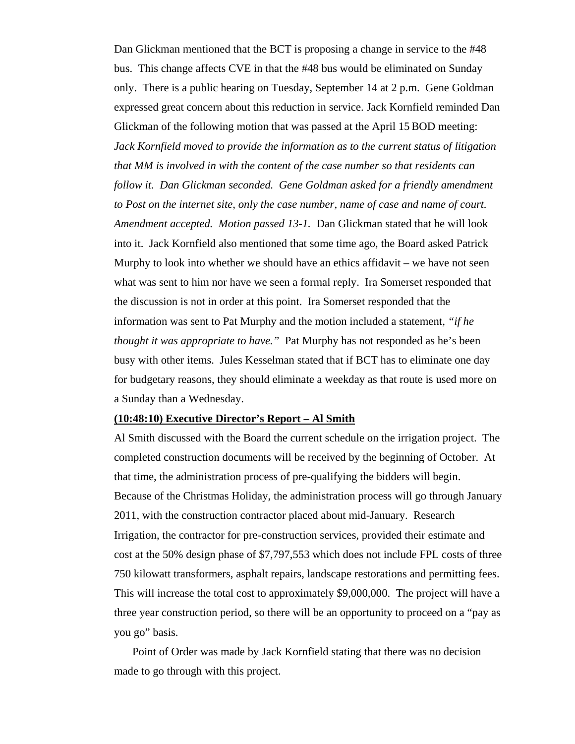Dan Glickman mentioned that the BCT is proposing a change in service to the #48 bus. This change affects CVE in that the #48 bus would be eliminated on Sunday only. There is a public hearing on Tuesday, September 14 at 2 p.m. Gene Goldman expressed great concern about this reduction in service. Jack Kornfield reminded Dan Glickman of the following motion that was passed at the April 15 BOD meeting: *Jack Kornfield moved to provide the information as to the current status of litigation that MM is involved in with the content of the case number so that residents can*  follow it. Dan Glickman seconded. Gene Goldman asked for a friendly amendment *to Post on the internet site, only the case number, name of case and name of court. Amendment accepted. Motion passed 13-1.* Dan Glickman stated that he will look into it. Jack Kornfield also mentioned that some time ago, the Board asked Patrick Murphy to look into whether we should have an ethics affidavit – we have not seen what was sent to him nor have we seen a formal reply. Ira Somerset responded that the discussion is not in order at this point. Ira Somerset responded that the information was sent to Pat Murphy and the motion included a statement, *"if he thought it was appropriate to have."* Pat Murphy has not responded as he's been busy with other items. Jules Kesselman stated that if BCT has to eliminate one day for budgetary reasons, they should eliminate a weekday as that route is used more on a Sunday than a Wednesday.

# **(10:48:10) Executive Director's Report – Al Smith**

Al Smith discussed with the Board the current schedule on the irrigation project. The completed construction documents will be received by the beginning of October. At that time, the administration process of pre-qualifying the bidders will begin. Because of the Christmas Holiday, the administration process will go through January 2011, with the construction contractor placed about mid-January. Research Irrigation, the contractor for pre-construction services, provided their estimate and cost at the 50% design phase of \$7,797,553 which does not include FPL costs of three 750 kilowatt transformers, asphalt repairs, landscape restorations and permitting fees. This will increase the total cost to approximately \$9,000,000. The project will have a three year construction period, so there will be an opportunity to proceed on a "pay as you go" basis.

 Point of Order was made by Jack Kornfield stating that there was no decision made to go through with this project.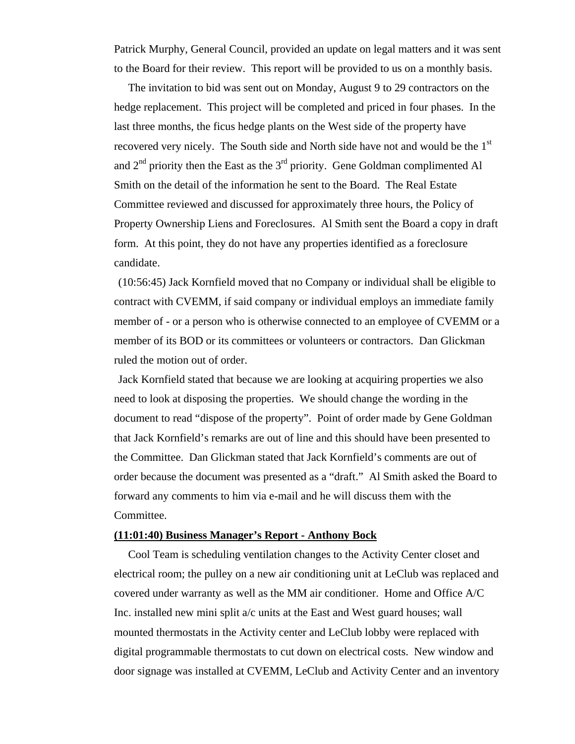Patrick Murphy, General Council, provided an update on legal matters and it was sent to the Board for their review. This report will be provided to us on a monthly basis.

 The invitation to bid was sent out on Monday, August 9 to 29 contractors on the hedge replacement. This project will be completed and priced in four phases. In the last three months, the ficus hedge plants on the West side of the property have recovered very nicely. The South side and North side have not and would be the 1st and  $2<sup>nd</sup>$  priority then the East as the  $3<sup>rd</sup>$  priority. Gene Goldman complimented Al Smith on the detail of the information he sent to the Board. The Real Estate Committee reviewed and discussed for approximately three hours, the Policy of Property Ownership Liens and Foreclosures. Al Smith sent the Board a copy in draft form. At this point, they do not have any properties identified as a foreclosure candidate.

(10:56:45) Jack Kornfield moved that no Company or individual shall be eligible to contract with CVEMM, if said company or individual employs an immediate family member of - or a person who is otherwise connected to an employee of CVEMM or a member of its BOD or its committees or volunteers or contractors.Dan Glickman ruled the motion out of order.

Jack Kornfield stated that because we are looking at acquiring properties we also need to look at disposing the properties. We should change the wording in the document to read "dispose of the property". Point of order made by Gene Goldman that Jack Kornfield's remarks are out of line and this should have been presented to the Committee. Dan Glickman stated that Jack Kornfield's comments are out of order because the document was presented as a "draft." Al Smith asked the Board to forward any comments to him via e-mail and he will discuss them with the Committee.

#### **(11:01:40) Business Manager's Report - Anthony Bock**

 Cool Team is scheduling ventilation changes to the Activity Center closet and electrical room; the pulley on a new air conditioning unit at LeClub was replaced and covered under warranty as well as the MM air conditioner. Home and Office A/C Inc. installed new mini split a/c units at the East and West guard houses; wall mounted thermostats in the Activity center and LeClub lobby were replaced with digital programmable thermostats to cut down on electrical costs. New window and door signage was installed at CVEMM, LeClub and Activity Center and an inventory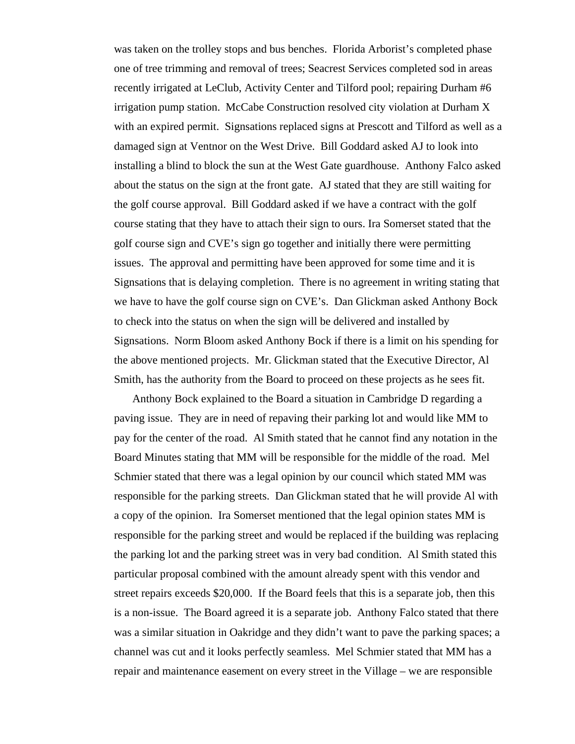was taken on the trolley stops and bus benches. Florida Arborist's completed phase one of tree trimming and removal of trees; Seacrest Services completed sod in areas recently irrigated at LeClub, Activity Center and Tilford pool; repairing Durham #6 irrigation pump station. McCabe Construction resolved city violation at Durham X with an expired permit. Signsations replaced signs at Prescott and Tilford as well as a damaged sign at Ventnor on the West Drive. Bill Goddard asked AJ to look into installing a blind to block the sun at the West Gate guardhouse. Anthony Falco asked about the status on the sign at the front gate. AJ stated that they are still waiting for the golf course approval. Bill Goddard asked if we have a contract with the golf course stating that they have to attach their sign to ours. Ira Somerset stated that the golf course sign and CVE's sign go together and initially there were permitting issues. The approval and permitting have been approved for some time and it is Signsations that is delaying completion. There is no agreement in writing stating that we have to have the golf course sign on CVE's. Dan Glickman asked Anthony Bock to check into the status on when the sign will be delivered and installed by Signsations. Norm Bloom asked Anthony Bock if there is a limit on his spending for the above mentioned projects. Mr. Glickman stated that the Executive Director, Al Smith, has the authority from the Board to proceed on these projects as he sees fit.

 Anthony Bock explained to the Board a situation in Cambridge D regarding a paving issue. They are in need of repaving their parking lot and would like MM to pay for the center of the road. Al Smith stated that he cannot find any notation in the Board Minutes stating that MM will be responsible for the middle of the road. Mel Schmier stated that there was a legal opinion by our council which stated MM was responsible for the parking streets. Dan Glickman stated that he will provide Al with a copy of the opinion. Ira Somerset mentioned that the legal opinion states MM is responsible for the parking street and would be replaced if the building was replacing the parking lot and the parking street was in very bad condition. Al Smith stated this particular proposal combined with the amount already spent with this vendor and street repairs exceeds \$20,000. If the Board feels that this is a separate job, then this is a non-issue. The Board agreed it is a separate job. Anthony Falco stated that there was a similar situation in Oakridge and they didn't want to pave the parking spaces; a channel was cut and it looks perfectly seamless. Mel Schmier stated that MM has a repair and maintenance easement on every street in the Village – we are responsible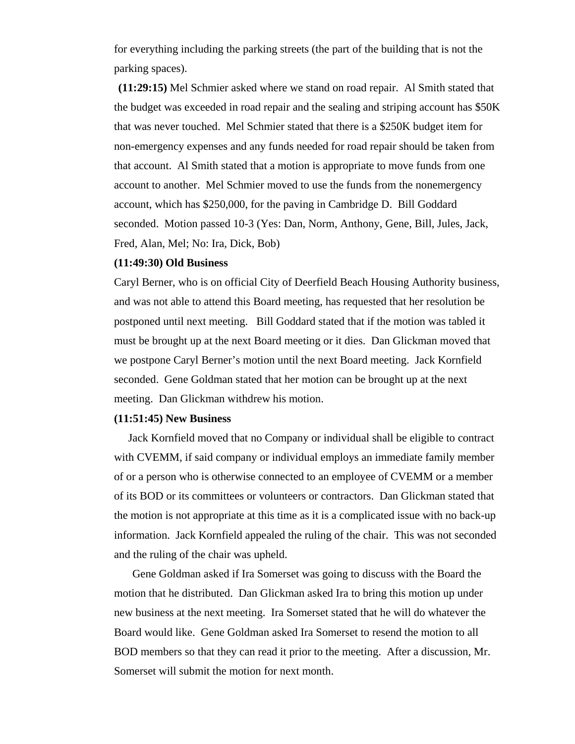for everything including the parking streets (the part of the building that is not the parking spaces).

**(11:29:15)** Mel Schmier asked where we stand on road repair. Al Smith stated that the budget was exceeded in road repair and the sealing and striping account has \$50K that was never touched. Mel Schmier stated that there is a \$250K budget item for non-emergency expenses and any funds needed for road repair should be taken from that account. Al Smith stated that a motion is appropriate to move funds from one account to another. Mel Schmier moved to use the funds from the nonemergency account, which has \$250,000, for the paving in Cambridge D. Bill Goddard seconded. Motion passed 10-3 (Yes: Dan, Norm, Anthony, Gene, Bill, Jules, Jack, Fred, Alan, Mel; No: Ira, Dick, Bob)

#### **(11:49:30) Old Business**

Caryl Berner, who is on official City of Deerfield Beach Housing Authority business, and was not able to attend this Board meeting, has requested that her resolution be postponed until next meeting. Bill Goddard stated that if the motion was tabled it must be brought up at the next Board meeting or it dies. Dan Glickman moved that we postpone Caryl Berner's motion until the next Board meeting. Jack Kornfield seconded. Gene Goldman stated that her motion can be brought up at the next meeting. Dan Glickman withdrew his motion.

### **(11:51:45) New Business**

 Jack Kornfield moved that no Company or individual shall be eligible to contract with CVEMM, if said company or individual employs an immediate family member of or a person who is otherwise connected to an employee of CVEMM or a member of its BOD or its committees or volunteers or contractors. Dan Glickman stated that the motion is not appropriate at this time as it is a complicated issue with no back-up information. Jack Kornfield appealed the ruling of the chair. This was not seconded and the ruling of the chair was upheld.

 Gene Goldman asked if Ira Somerset was going to discuss with the Board the motion that he distributed. Dan Glickman asked Ira to bring this motion up under new business at the next meeting. Ira Somerset stated that he will do whatever the Board would like. Gene Goldman asked Ira Somerset to resend the motion to all BOD members so that they can read it prior to the meeting. After a discussion, Mr. Somerset will submit the motion for next month.